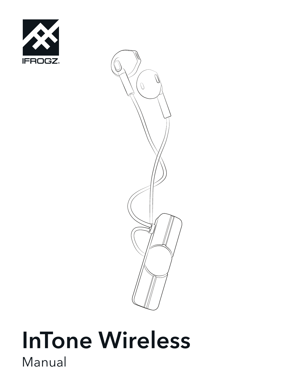



# InTone Wireless Manual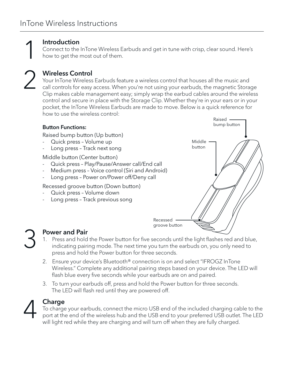1 2

### Introduction

Connect to the InTone Wireless Earbuds and get in tune with crisp, clear sound. Here's how to get the most out of them.

### Wireless Control

Your InTone Wireless Earbuds feature a wireless control that houses all the music and call controls for easy access. When you're not using your earbuds, the magnetic Storage Clip makes cable management easy; simply wrap the earbud cables around the wireless control and secure in place with the Storage Clip. Whether they're in your ears or in your pocket, the InTone Wireless Earbuds are made to move. Below is a quick reference for how to use the wireless control:



# Power and Pair 3

- 1. Press and hold the Power button for five seconds until the light flashes red and blue, indicating pairing mode. The next time you turn the earbuds on, you only need to press and hold the Power button for three seconds.
- 2. Ensure your device's Bluetooth® connection is on and select "IFROGZ InTone Wireless." Complete any additional pairing steps based on your device. The LED will flash blue every five seconds while your earbuds are on and paired.
- 3. To turn your earbuds off, press and hold the Power button for three seconds. The LED will flash red until they are powered off.



#### Charge

To charge your earbuds, connect the micro USB end of the included charging cable to the port at the end of the wireless hub and the USB end to your preferred USB outlet. The LED will light red while they are charging and will turn off when they are fully charged.